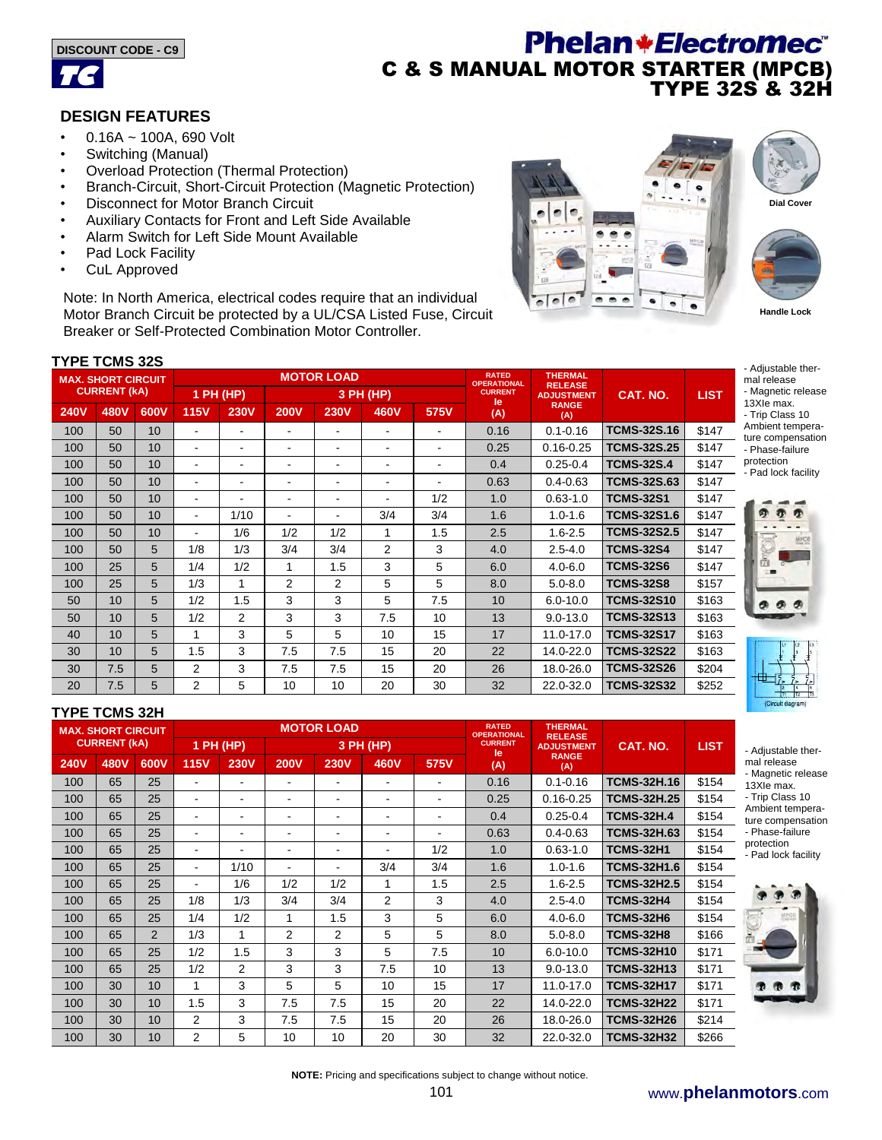



# **Phelan+Electromec**® C & S MANUAL MOTOR STARTER (MPCB) TYPE 32S & 32H

## **DESIGN FEATURES**

- 0.16A ~ 100A, 690 Volt
- Switching (Manual)
- Overload Protection (Thermal Protection)
- Branch-Circuit, Short-Circuit Protection (Magnetic Protection)
- Disconnect for Motor Branch Circuit
- Auxiliary Contacts for Front and Left Side Available
- Alarm Switch for Left Side Mount Available
- Pad Lock Facility
- CuL Approved

Note: In North America, electrical codes require that an individual Motor Branch Circuit be protected by a UL/CSA Listed Fuse, Circuit Breaker or Self-Protected Combination Motor Controller.





# - Adjustable ther-

- mal release - Magnetic release
- 13XIe max. - Trip Class 10
- Ambient temperature compensation - Phase-failure

protection - Pad lock facility





- Adjustable thermal release - Magnetic release 13XIe max. - Trip Class 10 Ambient temperature compensation - Phase-failure protection - Pad lock facility



### **TYPE TCMS 32S**

| . . <b>.</b><br><b>MAX. SHORT CIRCUIT</b><br><b>CURRENT (KA)</b> |      |      |                          |                          |                | <b>MOTOR LOAD</b>        |                | <b>RATED</b><br><b>OPERATIONAL</b> | <b>THERMAL</b><br><b>RELEASE</b> |                     |                    |             |
|------------------------------------------------------------------|------|------|--------------------------|--------------------------|----------------|--------------------------|----------------|------------------------------------|----------------------------------|---------------------|--------------------|-------------|
|                                                                  |      |      | $1$ PH (HP)              |                          | 3 PH (HP)      |                          |                |                                    | <b>CURRENT</b><br>le             | <b>ADJUSTMENT</b>   | CAT. NO.           | <b>LIST</b> |
| <b>240V</b>                                                      | 480V | 600V | <b>115V</b>              | <b>230V</b>              | <b>200V</b>    | <b>230V</b>              | 460V           | 575V                               | (A)                              | <b>RANGE</b><br>(A) |                    |             |
| 100                                                              | 50   | 10   |                          |                          |                |                          | ۰              |                                    | 0.16                             | $0.1 - 0.16$        | <b>TCMS-32S.16</b> | \$147       |
| 100                                                              | 50   | 10   | $\overline{\phantom{0}}$ | $\overline{\phantom{a}}$ | ۰              | $\overline{\phantom{a}}$ | ۰              | ۰                                  | 0.25                             | $0.16 - 0.25$       | <b>TCMS-32S.25</b> | \$147       |
| 100                                                              | 50   | 10   |                          | $\overline{\phantom{a}}$ |                | $\overline{\phantom{a}}$ | ۰              | ۰                                  | 0.4                              | $0.25 - 0.4$        | <b>TCMS-32S.4</b>  | \$147       |
| 100                                                              | 50   | 10   | $\overline{\phantom{0}}$ | $\overline{\phantom{a}}$ |                | $\overline{\phantom{0}}$ | ۰              | ۰                                  | 0.63                             | $0.4 - 0.63$        | <b>TCMS-32S.63</b> | \$147       |
| 100                                                              | 50   | 10   | -                        | $\overline{\phantom{0}}$ |                | ٠                        | ۰              | 1/2                                | 1.0                              | $0.63 - 1.0$        | <b>TCMS-32S1</b>   | \$147       |
| 100                                                              | 50   | 10   | $\blacksquare$           | 1/10                     |                | $\overline{\phantom{0}}$ | 3/4            | 3/4                                | 1.6                              | $1.0 - 1.6$         | <b>TCMS-32S1.6</b> | \$147       |
| 100                                                              | 50   | 10   |                          | 1/6                      | 1/2            | 1/2                      | 1              | 1.5                                | 2.5                              | $1.6 - 2.5$         | <b>TCMS-32S2.5</b> | \$147       |
| 100                                                              | 50   | 5    | 1/8                      | 1/3                      | 3/4            | 3/4                      | $\overline{2}$ | 3                                  | 4.0                              | $2.5 - 4.0$         | <b>TCMS-32S4</b>   | \$147       |
| 100                                                              | 25   | 5    | 1/4                      | 1/2                      | 1              | 1.5                      | 3              | 5                                  | 6.0                              | $4.0 - 6.0$         | <b>TCMS-32S6</b>   | \$147       |
| 100                                                              | 25   | 5    | 1/3                      | 1                        | $\overline{2}$ | $\overline{2}$           | 5              | 5                                  | 8.0                              | $5.0 - 8.0$         | <b>TCMS-32S8</b>   | \$157       |
| 50                                                               | 10   | 5    | 1/2                      | 1.5                      | 3              | 3                        | 5              | 7.5                                | 10                               | $6.0 - 10.0$        | <b>TCMS-32S10</b>  | \$163       |
| 50                                                               | 10   | 5    | 1/2                      | 2                        | 3              | 3                        | 7.5            | 10                                 | 13                               | $9.0 - 13.0$        | <b>TCMS-32S13</b>  | \$163       |
| 40                                                               | 10   | 5    | 1                        | 3                        | 5              | 5                        | 10             | 15                                 | 17                               | 11.0-17.0           | <b>TCMS-32S17</b>  | \$163       |
| 30                                                               | 10   | 5    | 1.5                      | 3                        | 7.5            | 7.5                      | 15             | 20                                 | 22                               | 14.0-22.0           | <b>TCMS-32S22</b>  | \$163       |
| 30                                                               | 7.5  | 5    | 2                        | 3                        | 7.5            | 7.5                      | 15             | 20                                 | 26                               | 18.0-26.0           | <b>TCMS-32S26</b>  | \$204       |
| 20                                                               | 7.5  | 5    | $\overline{2}$           | 5                        | 10             | 10                       | 20             | 30                                 | 32                               | 22.0-32.0           | <b>TCMS-32S32</b>  | \$252       |

#### **TYPE TCMS 32H**

| .                         |      |                |                          |                |                          |                |                                    |                                  |                      |                     |                    |             |
|---------------------------|------|----------------|--------------------------|----------------|--------------------------|----------------|------------------------------------|----------------------------------|----------------------|---------------------|--------------------|-------------|
| <b>MAX. SHORT CIRCUIT</b> |      |                |                          |                | <b>MOTOR LOAD</b>        |                | <b>RATED</b><br><b>OPERATIONAL</b> | <b>THERMAL</b><br><b>RELEASE</b> |                      |                     |                    |             |
| <b>CURRENT (KA)</b>       |      |                |                          | 1 PH (HP)      | 3 PH (HP)                |                |                                    |                                  | <b>CURRENT</b><br>le | <b>ADJUSTMENT</b>   | CAT. NO.           | <b>LIST</b> |
| <b>240V</b>               | 480V | 600V           | <b>115V</b>              | <b>230V</b>    | <b>200V</b>              | <b>230V</b>    | 460V                               | 575V                             | (A)                  | <b>RANGE</b><br>(A) |                    |             |
| 100                       | 65   | 25             | ۰                        | ٠              | $\overline{\phantom{0}}$ | ۰              | ۰                                  | $\overline{\phantom{0}}$         | 0.16                 | $0.1 - 0.16$        | <b>TCMS-32H.16</b> | \$154       |
| 100                       | 65   | 25             | $\overline{\phantom{0}}$ | ۰              | $\blacksquare$           | $\blacksquare$ | $\blacksquare$                     | $\blacksquare$                   | 0.25                 | $0.16 - 0.25$       | <b>TCMS-32H.25</b> | \$154       |
| 100                       | 65   | 25             | ۰                        | ۰              | $\overline{\phantom{a}}$ | ۰              | ۰                                  | $\blacksquare$                   | 0.4                  | $0.25 - 0.4$        | <b>TCMS-32H.4</b>  | \$154       |
| 100                       | 65   | 25             | $\overline{\phantom{0}}$ | ۰              | $\overline{\phantom{a}}$ | $\blacksquare$ | $\blacksquare$                     | $\overline{\phantom{a}}$         | 0.63                 | $0.4 - 0.63$        | <b>TCMS-32H.63</b> | \$154       |
| 100                       | 65   | 25             | ۰                        | ٠              | ۰                        | $\blacksquare$ |                                    | 1/2                              | 1.0                  | $0.63 - 1.0$        | <b>TCMS-32H1</b>   | \$154       |
| 100                       | 65   | 25             | $\overline{\phantom{0}}$ | 1/10           | $\overline{\phantom{a}}$ | $\blacksquare$ | 3/4                                | 3/4                              | 1.6                  | $1.0 - 1.6$         | <b>TCMS-32H1.6</b> | \$154       |
| 100                       | 65   | 25             | ۰                        | 1/6            | 1/2                      | 1/2            | 1                                  | 1.5                              | 2.5                  | $1.6 - 2.5$         | <b>TCMS-32H2.5</b> | \$154       |
| 100                       | 65   | 25             | 1/8                      | 1/3            | 3/4                      | 3/4            | $\overline{2}$                     | 3                                | 4.0                  | $2.5 - 4.0$         | <b>TCMS-32H4</b>   | \$154       |
| 100                       | 65   | 25             | 1/4                      | 1/2            | 1                        | 1.5            | 3                                  | 5                                | 6.0                  | $4.0 - 6.0$         | <b>TCMS-32H6</b>   | \$154       |
| 100                       | 65   | $\overline{2}$ | 1/3                      | 1              | 2                        | 2              | 5                                  | 5                                | 8.0                  | $5.0 - 8.0$         | <b>TCMS-32H8</b>   | \$166       |
| 100                       | 65   | 25             | 1/2                      | 1.5            | 3                        | 3              | 5                                  | 7.5                              | 10                   | $6.0 - 10.0$        | <b>TCMS-32H10</b>  | \$171       |
| 100                       | 65   | 25             | 1/2                      | $\overline{2}$ | 3                        | 3              | 7.5                                | 10                               | 13                   | $9.0 - 13.0$        | <b>TCMS-32H13</b>  | \$171       |
| 100                       | 30   | 10             |                          | 3              | 5                        | 5              | 10                                 | 15                               | 17                   | 11.0-17.0           | <b>TCMS-32H17</b>  | \$171       |
| 100                       | 30   | 10             | 1.5                      | 3              | 7.5                      | 7.5            | 15                                 | 20                               | 22                   | 14.0-22.0           | <b>TCMS-32H22</b>  | \$171       |
| 100                       | 30   | 10             | $\overline{2}$           | 3              | 7.5                      | 7.5            | 15                                 | 20                               | 26                   | 18.0-26.0           | <b>TCMS-32H26</b>  | \$214       |
| 100                       | 30   | 10             | $\overline{2}$           | 5              | 10                       | 10             | 20                                 | 30                               | 32                   | 22.0-32.0           | <b>TCMS-32H32</b>  | \$266       |